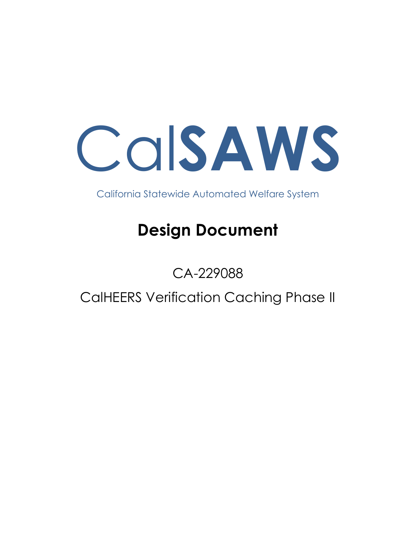Cal**SAWS**

California Statewide Automated Welfare System

# **Design Document**

# CA-229088

CalHEERS Verification Caching Phase II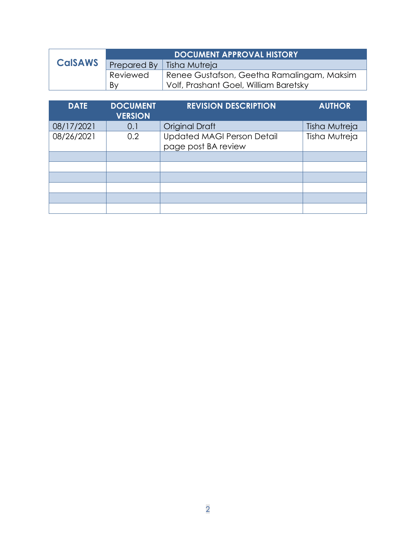|                | <b>DOCUMENT APPROVAL HISTORY</b> |                                            |  |  |  |
|----------------|----------------------------------|--------------------------------------------|--|--|--|
| <b>CalSAWS</b> |                                  | Prepared By   Tisha Mutreja                |  |  |  |
|                | Reviewed                         | Renee Gustafson, Geetha Ramalingam, Maksim |  |  |  |
|                | By                               | Volf, Prashant Goel, William Baretsky      |  |  |  |

| <b>DATE</b> | <b>DOCUMENT</b><br><b>VERSION</b> | <b>REVISION DESCRIPTION</b>                              | <b>AUTHOR</b> |
|-------------|-----------------------------------|----------------------------------------------------------|---------------|
| 08/17/2021  | 0.1                               | <b>Original Draft</b>                                    | Tisha Mutreja |
| 08/26/2021  | 0.2                               | <b>Updated MAGI Person Detail</b><br>page post BA review | Tisha Mutreja |
|             |                                   |                                                          |               |
|             |                                   |                                                          |               |
|             |                                   |                                                          |               |
|             |                                   |                                                          |               |
|             |                                   |                                                          |               |
|             |                                   |                                                          |               |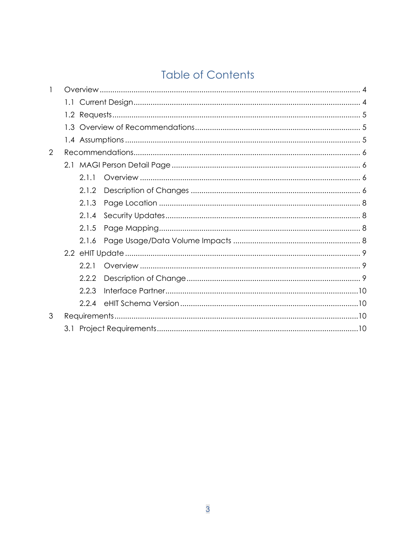# **Table of Contents**

| 1 |         |       |  |
|---|---------|-------|--|
|   | $1.1 -$ |       |  |
|   |         |       |  |
|   |         |       |  |
|   |         |       |  |
| 2 |         |       |  |
|   |         |       |  |
|   |         | 2.1.1 |  |
|   |         | 2.1.2 |  |
|   |         | 2.1.3 |  |
|   |         | 2.1.4 |  |
|   |         | 2.1.5 |  |
|   |         | 2.1.6 |  |
|   |         |       |  |
|   |         | 2.2.1 |  |
|   |         | 2.2.2 |  |
|   |         | 2.2.3 |  |
|   |         | 2.2.4 |  |
| 3 |         |       |  |
|   |         |       |  |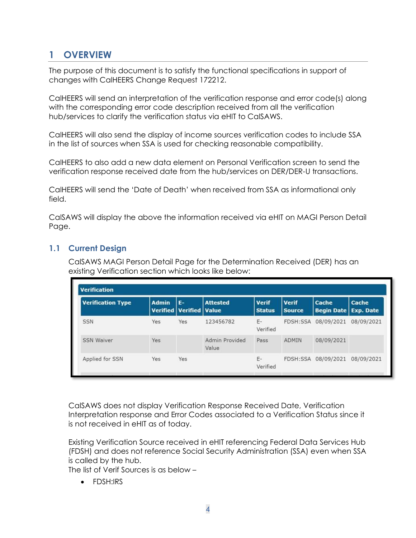# <span id="page-3-0"></span>**1 OVERVIEW**

The purpose of this document is to satisfy the functional specifications in support of changes with CalHEERS Change Request 172212.

CalHEERS will send an interpretation of the verification response and error code(s) along with the corresponding error code description received from all the verification hub/services to clarify the verification status via eHIT to CalSAWS.

CalHEERS will also send the display of income sources verification codes to include SSA in the list of sources when SSA is used for checking reasonable compatibility.

CalHEERS to also add a new data element on Personal Verification screen to send the verification response received date from the hub/services on DER/DER-U transactions.

CalHEERS will send the 'Date of Death' when received from SSA as informational only field.

CalSAWS will display the above the information received via eHIT on MAGI Person Detail Page.

#### <span id="page-3-1"></span>**1.1 Current Design**

CalSAWS MAGI Person Detail Page for the Determination Received (DER) has an existing Verification section which looks like below:

| <b>Verification Type</b> | <b>Admin</b> | E-                                 | <b>Attested</b>         | <b>Verif</b>   | <b>Verif</b>  | Cache                         | Cache      |
|--------------------------|--------------|------------------------------------|-------------------------|----------------|---------------|-------------------------------|------------|
|                          |              | <b>Verified   Verified   Value</b> |                         | <b>Status</b>  | <b>Source</b> | <b>Begin Date   Exp. Date</b> |            |
| <b>SSN</b>               | Yes          | Yes                                | 123456782               | E-<br>Verified | FDSH:SSA      | 08/09/2021                    | 08/09/2021 |
| <b>SSN Waiver</b>        | Yes          |                                    | Admin Provided<br>Value | Pass           | <b>ADMIN</b>  | 08/09/2021                    |            |
| Applied for SSN          | <b>Yes</b>   | Yes                                |                         | E-<br>Verified | FDSH:SSA      | 08/09/2021                    | 08/09/2021 |

CalSAWS does not display Verification Response Received Date, Verification Interpretation response and Error Codes associated to a Verification Status since it is not received in eHIT as of today.

Existing Verification Source received in eHIT referencing Federal Data Services Hub (FDSH) and does not reference Social Security Administration (SSA) even when SSA is called by the hub.

The list of Verif Sources is as below –

• FDSH:IRS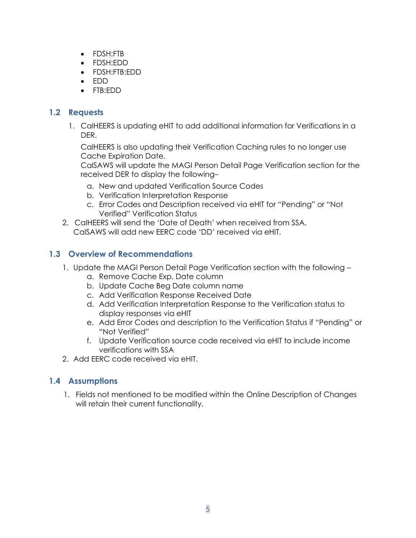- FDSH:FTB
- FDSH:EDD
- FDSH:FTB:EDD
- EDD
- FTB:EDD

# <span id="page-4-0"></span>**1.2 Requests**

1. CalHEERS is updating eHIT to add additional information for Verifications in a DER.

CalHEERS is also updating their Verification Caching rules to no longer use Cache Expiration Date.

CalSAWS will update the MAGI Person Detail Page Verification section for the received DER to display the following–

- a. New and updated Verification Source Codes
- b. Verification Interpretation Response
- c. Error Codes and Description received via eHIT for "Pending" or "Not Verified" Verification Status
- 2. CalHEERS will send the 'Date of Death' when received from SSA. CalSAWS will add new EERC code 'DD' received via eHIT.

# <span id="page-4-1"></span>**1.3 Overview of Recommendations**

- 1. Update the MAGI Person Detail Page Verification section with the following
	- a. Remove Cache Exp. Date column
	- b. Update Cache Beg Date column name
	- c. Add Verification Response Received Date
	- d. Add Verification Interpretation Response to the Verification status to display responses via eHIT
	- e. Add Error Codes and description to the Verification Status if "Pending" or "Not Verified"
	- f. Update Verification source code received via eHIT to include income verifications with SSA
- 2. Add EERC code received via eHIT.

# <span id="page-4-2"></span>**1.4 Assumptions**

1. Fields not mentioned to be modified within the Online Description of Changes will retain their current functionality.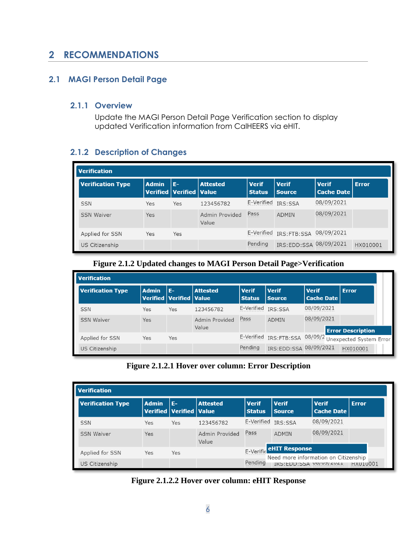# <span id="page-5-0"></span>**2 RECOMMENDATIONS**

#### <span id="page-5-2"></span><span id="page-5-1"></span>**2.1 MAGI Person Detail Page**

#### **2.1.1 Overview**

Update the MAGI Person Detail Page Verification section to display updated Verification information from CalHEERS via eHIT.

## <span id="page-5-3"></span>**2.1.2 Description of Changes**

| <b>Verification</b>      |              |                                          |                         |                               |                               |                                   |              |
|--------------------------|--------------|------------------------------------------|-------------------------|-------------------------------|-------------------------------|-----------------------------------|--------------|
| <b>Verification Type</b> | <b>Admin</b> | E-<br><b>Verified   Verified   Value</b> | <b>Attested</b>         | <b>Verif</b><br><b>Status</b> | <b>Verif</b><br><b>Source</b> | <b>Verif</b><br><b>Cache Date</b> | <b>Error</b> |
| <b>SSN</b>               | Yes          | <b>Yes</b>                               | 123456782               | E-Verified                    | IRS:SSA                       | 08/09/2021                        |              |
| <b>SSN Waiver</b>        | <b>Yes</b>   |                                          | Admin Provided<br>Value | Pass                          | <b>ADMIN</b>                  | 08/09/2021                        |              |
| Applied for SSN          | Yes          | Yes                                      |                         | E-Verified                    | IRS:FTB:SSA 08/09/2021        |                                   |              |
| US Citizenship           |              |                                          |                         | Pending                       | IRS:EDD:SSA 08/09/2021        |                                   | HX010001     |

#### **Figure 2.1.2 Updated changes to MAGI Person Detail Page>Verification**

| <b>Verification</b>      |              |                                       |                         |                               |                         |                                   |                                                        |
|--------------------------|--------------|---------------------------------------|-------------------------|-------------------------------|-------------------------|-----------------------------------|--------------------------------------------------------|
| <b>Verification Type</b> | <b>Admin</b> | IF-<br><b>Verified Verified Value</b> | Attested                | <b>Verif</b><br><b>Status</b> | <b>Verif</b><br>Source, | <b>Verif</b><br><b>Cache Date</b> | <b>Error</b>                                           |
| <b>SSN</b>               | Yes          | Yes                                   | 123456782               | E-Verified IRS:SSA            |                         | 08/09/2021                        |                                                        |
| <b>SSN Waiver</b>        | Yes          |                                       | Admin Provided<br>Value | Pass                          | <b>ADMIN</b>            | 08/09/2021                        | <b>Error Description</b>                               |
| Applied for SSN          | Yes          | Yes                                   |                         |                               |                         |                                   | E-Verified IRS:FTB:SSA 08/09/2 Unexpected System Error |
| US Citizenship           |              |                                       |                         | Pending                       | IRS:EDD:SSA 08/09/2021  |                                   | HX010001                                               |

#### **Figure 2.1.2.1 Hover over column: Error Description**

| <b>Verification</b>      |              |                                          |                         |                               |                                                                   |                                   |              |
|--------------------------|--------------|------------------------------------------|-------------------------|-------------------------------|-------------------------------------------------------------------|-----------------------------------|--------------|
| <b>Verification Type</b> | <b>Admin</b> | E-<br><b>Verified   Verified   Value</b> | <b>Attested</b>         | <b>Verif</b><br><b>Status</b> | <b>Verif</b><br><b>Source</b>                                     | <b>Verif</b><br><b>Cache Date</b> | <b>Error</b> |
| <b>SSN</b>               | Yes          | Yes                                      | 123456782               | E-Verified                    | <b>IRS:SSA</b>                                                    | 08/09/2021                        |              |
| <b>SSN Waiver</b>        | Yes          |                                          | Admin Provided<br>Value | Pass                          | ADMIN                                                             | 08/09/2021                        |              |
| Applied for SSN          | Yes          | Yes                                      |                         |                               | E-Verific <b>eHIT Response</b>                                    |                                   |              |
| US Citizenship           |              |                                          |                         | Pending                       | Need more information on Citizenship<br>IRS: EDD: SSA UO/UJ/ ZUZI |                                   | HX010001     |

**Figure 2.1.2.2 Hover over column: eHIT Response**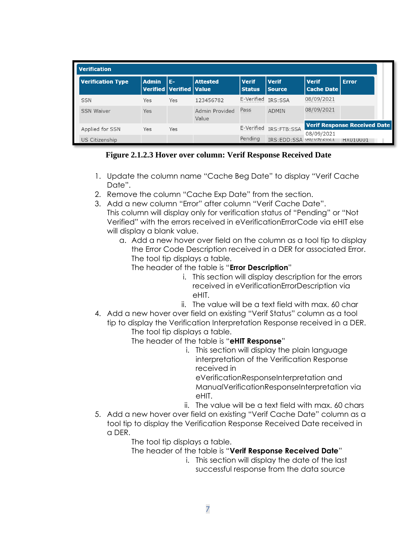| <b>Verification</b>      |              |                                     |                         |                               |                                                                              |                                   |                                     |
|--------------------------|--------------|-------------------------------------|-------------------------|-------------------------------|------------------------------------------------------------------------------|-----------------------------------|-------------------------------------|
| <b>Verification Type</b> | <b>Admin</b> | I E-<br>Verified   Verified   Value | <b>Attested</b>         | <b>Verif</b><br><b>Status</b> | l Verif<br><b>Source</b>                                                     | <b>Verif</b><br><b>Cache Date</b> | <b>Error</b>                        |
| <b>SSN</b>               | Yes          | Yes                                 | 123456782               | E-Verified                    | <b>IRS:SSA</b>                                                               | 08/09/2021                        |                                     |
| <b>SSN Waiver</b>        | Yes          |                                     | Admin Provided<br>Value | Pass                          | ADMIN                                                                        | 08/09/2021                        |                                     |
| Applied for SSN          | Yes          | Yes                                 |                         | E-Verified                    | IRS:FTB:SSA                                                                  |                                   | <b>Verif Response Received Date</b> |
| US Citizenship           |              |                                     |                         | Pending                       | IRS: FDD: SSA UO/UJ/ <u<1< td=""><td>08/09/2021</td><td>HX010001</td></u<1<> | 08/09/2021                        | HX010001                            |

**Figure 2.1.2.3 Hover over column: Verif Response Received Date**

- 1. Update the column name "Cache Beg Date" to display "Verif Cache Date".
- 2. Remove the column "Cache Exp Date" from the section.
- 3. Add a new column "Error" after column "Verif Cache Date". This column will display only for verification status of "Pending" or "Not Verified" with the errors received in eVerificationErrorCode via eHIT else will display a blank value.
	- a. Add a new hover over field on the column as a tool tip to display the Error Code Description received in a DER for associated Error. The tool tip displays a table.
		- The header of the table is "**Error Description**"
			- i. This section will display description for the errors received in eVerificationErrorDescription via eHIT.
			- ii. The value will be a text field with max. 60 char
- 4. Add a new hover over field on existing "Verif Status" column as a tool tip to display the Verification Interpretation Response received in a DER. The tool tip displays a table.
	- The header of the table is "**eHIT Response**"
		- i. This section will display the plain language interpretation of the Verification Response received in

eVerificationResponseInterpretation and ManualVerificationResponseInterpretation via eHIT.

- ii. The value will be a text field with max. 60 chars
- 5. Add a new hover over field on existing "Verif Cache Date" column as a tool tip to display the Verification Response Received Date received in a DER.

The tool tip displays a table.

- The header of the table is "**Verif Response Received Date**"
	- i. This section will display the date of the last successful response from the data source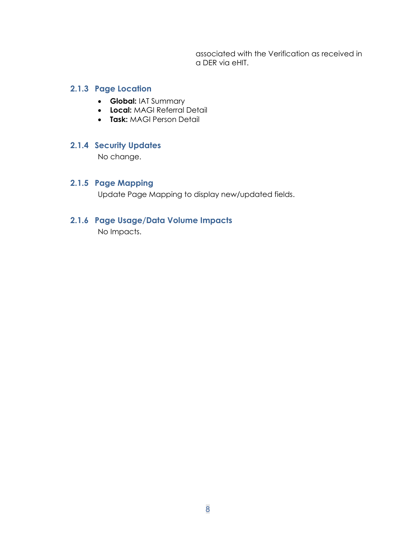associated with the Verification as received in a DER via eHIT.

#### <span id="page-7-0"></span>**2.1.3 Page Location**

- **Global:** IAT Summary
- **Local:** MAGI Referral Detail
- **Task:** MAGI Person Detail

#### <span id="page-7-1"></span>**2.1.4 Security Updates**

No change.

# <span id="page-7-2"></span>**2.1.5 Page Mapping**

Update Page Mapping to display new/updated fields.

#### <span id="page-7-3"></span>**2.1.6 Page Usage/Data Volume Impacts**

No Impacts.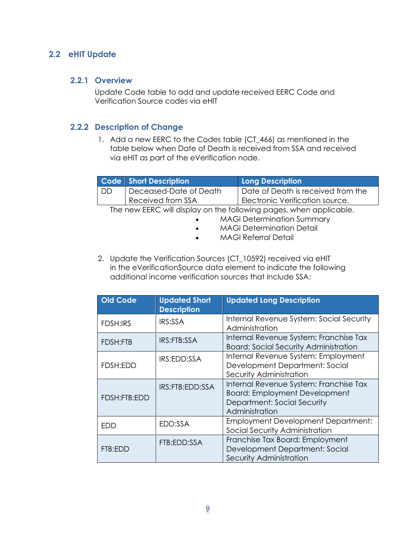#### <span id="page-8-1"></span><span id="page-8-0"></span>**2.2 eHIT Update**

#### **2.2.1 Overview**

Update Code table to add and update received EERC Code and Verification Source codes via eHIT

#### <span id="page-8-2"></span>**2.2.2 Description of Change**

1. Add a new EERC to the Codes table (CT 466) as mentioned in the table below when Date of Death is received from SSA and received via eHIT as part of the eVerification node.

|                                                                    | Code Short Description | Long Description                   |  |  |
|--------------------------------------------------------------------|------------------------|------------------------------------|--|--|
| I DD                                                               | Deceased-Date of Death | Date of Death is received from the |  |  |
|                                                                    | Received from SSA      | Electronic Verification source.    |  |  |
| The new EERC will display on the following pages, when applicable. |                        |                                    |  |  |

• MAGI Determination Summary

- MAGI Determination Detail
- MAGI Referral Detail
- 2. Update the Verification Sources (CT\_10592) received via eHIT in the eVerificationSource data element to indicate the following additional income verification sources that include SSA:

| <b>Old Code</b> | <b>Updated Short</b><br><b>Description</b> | <b>Updated Long Description</b>                                                                                                 |
|-----------------|--------------------------------------------|---------------------------------------------------------------------------------------------------------------------------------|
| <b>FDSH:IRS</b> | <b>IRS:SSA</b>                             | Internal Revenue System: Social Security<br>Administration                                                                      |
| <b>FDSH:FTB</b> | IRS:FTB:SSA                                | Internal Revenue System: Franchise Tax<br><b>Board: Social Security Administration</b>                                          |
| FDSH:EDD        | IRS:EDD:SSA                                | Internal Revenue System: Employment<br>Development Department: Social<br>Security Administration                                |
| FDSH:FTB:EDD    | IRS:FTB:EDD:SSA                            | Internal Revenue System: Franchise Tax<br><b>Board: Employment Development</b><br>Department: Social Security<br>Administration |
| FDD             | EDD:SSA                                    | <b>Employment Development Department:</b><br>Social Security Administration                                                     |
| FTB:EDD         | FTB:EDD:SSA                                | Franchise Tax Board: Employment<br>Development Department: Social<br>Security Administration                                    |